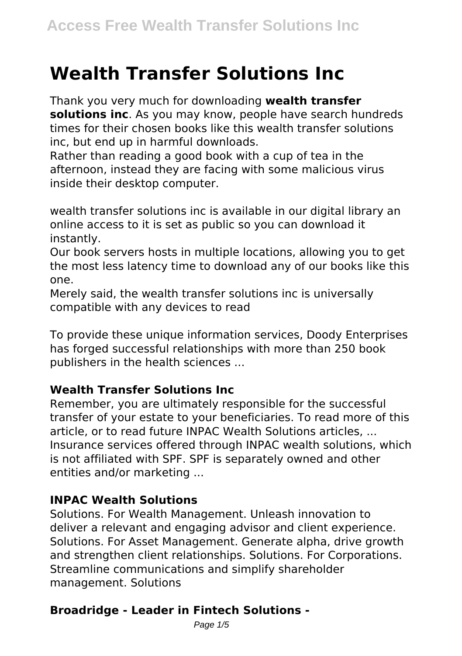# **Wealth Transfer Solutions Inc**

Thank you very much for downloading **wealth transfer solutions inc**. As you may know, people have search hundreds times for their chosen books like this wealth transfer solutions inc, but end up in harmful downloads.

Rather than reading a good book with a cup of tea in the afternoon, instead they are facing with some malicious virus inside their desktop computer.

wealth transfer solutions inc is available in our digital library an online access to it is set as public so you can download it instantly.

Our book servers hosts in multiple locations, allowing you to get the most less latency time to download any of our books like this one.

Merely said, the wealth transfer solutions inc is universally compatible with any devices to read

To provide these unique information services, Doody Enterprises has forged successful relationships with more than 250 book publishers in the health sciences ...

#### **Wealth Transfer Solutions Inc**

Remember, you are ultimately responsible for the successful transfer of your estate to your beneficiaries. To read more of this article, or to read future INPAC Wealth Solutions articles, ... Insurance services offered through INPAC wealth solutions, which is not affiliated with SPF. SPF is separately owned and other entities and/or marketing ...

#### **INPAC Wealth Solutions**

Solutions. For Wealth Management. Unleash innovation to deliver a relevant and engaging advisor and client experience. Solutions. For Asset Management. Generate alpha, drive growth and strengthen client relationships. Solutions. For Corporations. Streamline communications and simplify shareholder management. Solutions

# **Broadridge - Leader in Fintech Solutions -**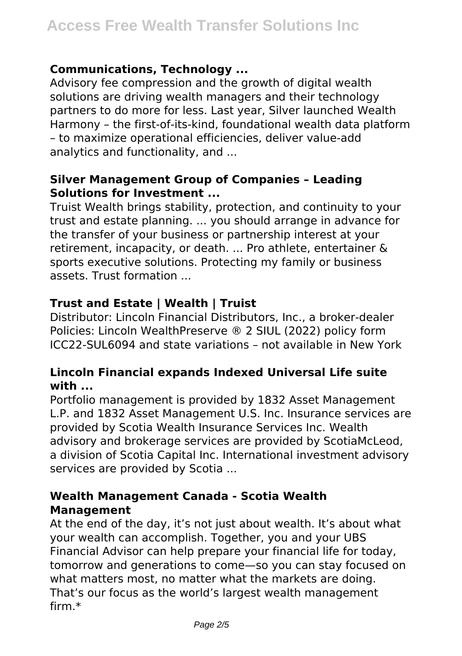#### **Communications, Technology ...**

Advisory fee compression and the growth of digital wealth solutions are driving wealth managers and their technology partners to do more for less. Last year, Silver launched Wealth Harmony – the first-of-its-kind, foundational wealth data platform – to maximize operational efficiencies, deliver value-add analytics and functionality, and ...

#### **Silver Management Group of Companies – Leading Solutions for Investment ...**

Truist Wealth brings stability, protection, and continuity to your trust and estate planning. ... you should arrange in advance for the transfer of your business or partnership interest at your retirement, incapacity, or death. ... Pro athlete, entertainer & sports executive solutions. Protecting my family or business assets. Trust formation ...

## **Trust and Estate | Wealth | Truist**

Distributor: Lincoln Financial Distributors, Inc., a broker-dealer Policies: Lincoln WealthPreserve ® 2 SIUL (2022) policy form ICC22-SUL6094 and state variations – not available in New York

#### **Lincoln Financial expands Indexed Universal Life suite with ...**

Portfolio management is provided by 1832 Asset Management L.P. and 1832 Asset Management U.S. Inc. Insurance services are provided by Scotia Wealth Insurance Services Inc. Wealth advisory and brokerage services are provided by ScotiaMcLeod, a division of Scotia Capital Inc. International investment advisory services are provided by Scotia ...

#### **Wealth Management Canada - Scotia Wealth Management**

At the end of the day, it's not just about wealth. It's about what your wealth can accomplish. Together, you and your UBS Financial Advisor can help prepare your financial life for today, tomorrow and generations to come—so you can stay focused on what matters most, no matter what the markets are doing. That's our focus as the world's largest wealth management firm.\*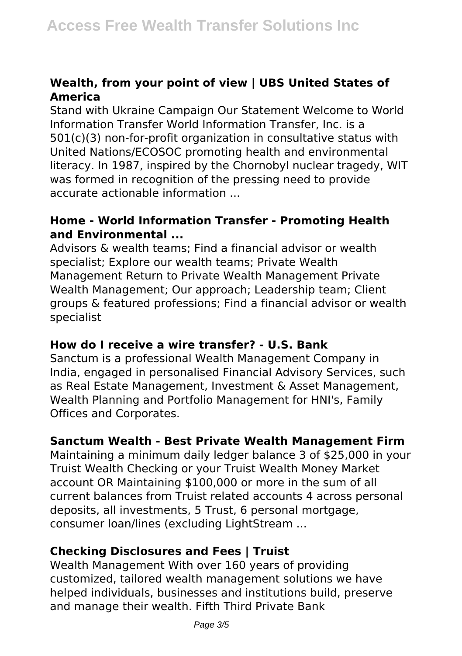## **Wealth, from your point of view | UBS United States of America**

Stand with Ukraine Campaign Our Statement Welcome to World Information Transfer World Information Transfer, Inc. is a 501(c)(3) non-for-profit organization in consultative status with United Nations/ECOSOC promoting health and environmental literacy. In 1987, inspired by the Chornobyl nuclear tragedy, WIT was formed in recognition of the pressing need to provide accurate actionable information ...

#### **Home - World Information Transfer - Promoting Health and Environmental ...**

Advisors & wealth teams; Find a financial advisor or wealth specialist; Explore our wealth teams; Private Wealth Management Return to Private Wealth Management Private Wealth Management; Our approach; Leadership team; Client groups & featured professions; Find a financial advisor or wealth specialist

#### **How do I receive a wire transfer? - U.S. Bank**

Sanctum is a professional Wealth Management Company in India, engaged in personalised Financial Advisory Services, such as Real Estate Management, Investment & Asset Management, Wealth Planning and Portfolio Management for HNI's, Family Offices and Corporates.

#### **Sanctum Wealth - Best Private Wealth Management Firm**

Maintaining a minimum daily ledger balance 3 of \$25,000 in your Truist Wealth Checking or your Truist Wealth Money Market account OR Maintaining \$100,000 or more in the sum of all current balances from Truist related accounts 4 across personal deposits, all investments, 5 Trust, 6 personal mortgage, consumer loan/lines (excluding LightStream ...

#### **Checking Disclosures and Fees | Truist**

Wealth Management With over 160 years of providing customized, tailored wealth management solutions we have helped individuals, businesses and institutions build, preserve and manage their wealth. Fifth Third Private Bank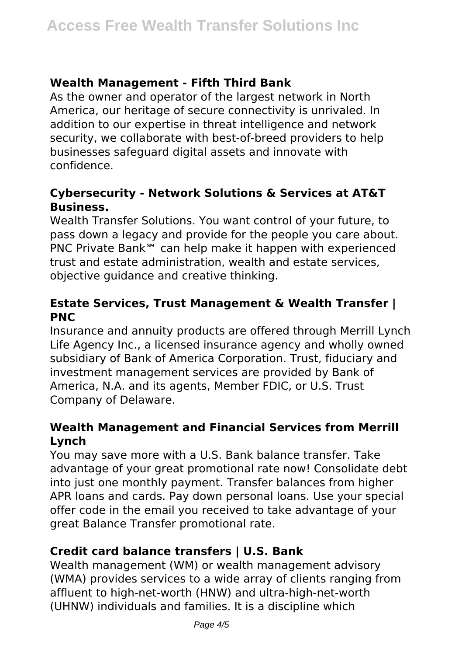## **Wealth Management - Fifth Third Bank**

As the owner and operator of the largest network in North America, our heritage of secure connectivity is unrivaled. In addition to our expertise in threat intelligence and network security, we collaborate with best-of-breed providers to help businesses safeguard digital assets and innovate with confidence.

#### **Cybersecurity - Network Solutions & Services at AT&T Business.**

Wealth Transfer Solutions. You want control of your future, to pass down a legacy and provide for the people you care about. PNC Private Bank℠ can help make it happen with experienced trust and estate administration, wealth and estate services, objective guidance and creative thinking.

### **Estate Services, Trust Management & Wealth Transfer | PNC**

Insurance and annuity products are offered through Merrill Lynch Life Agency Inc., a licensed insurance agency and wholly owned subsidiary of Bank of America Corporation. Trust, fiduciary and investment management services are provided by Bank of America, N.A. and its agents, Member FDIC, or U.S. Trust Company of Delaware.

#### **Wealth Management and Financial Services from Merrill Lynch**

You may save more with a U.S. Bank balance transfer. Take advantage of your great promotional rate now! Consolidate debt into just one monthly payment. Transfer balances from higher APR loans and cards. Pay down personal loans. Use your special offer code in the email you received to take advantage of your great Balance Transfer promotional rate.

# **Credit card balance transfers | U.S. Bank**

Wealth management (WM) or wealth management advisory (WMA) provides services to a wide array of clients ranging from affluent to high-net-worth (HNW) and ultra-high-net-worth (UHNW) individuals and families. It is a discipline which